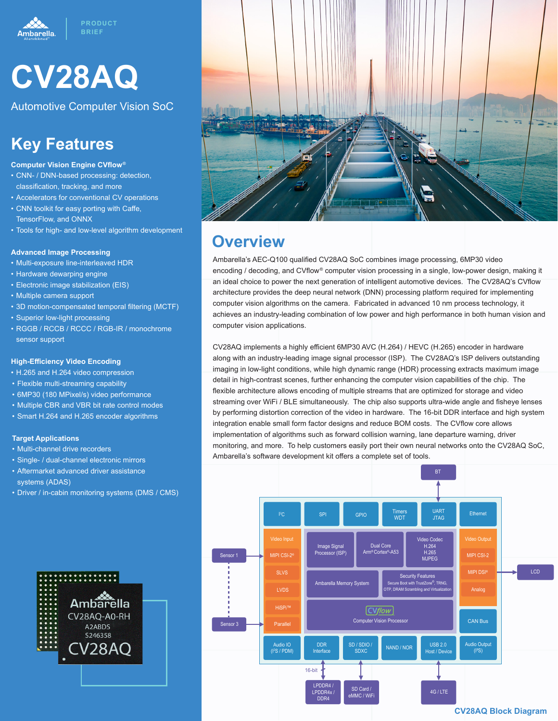



Automotive Computer Vision SoC

## **Key Features**

#### **Computer Vision Engine CVflow®**

- CNN- / DNN-based processing: detection, classification, tracking, and more
- Accelerators for conventional CV operations
- CNN toolkit for easy porting with Caffe, TensorFlow, and ONNX
- Tools for high- and low-level algorithm development

#### **Advanced Image Processing**

- Multi-exposure line-interleaved HDR
- Hardware dewarping engine
- Electronic image stabilization (EIS)
- Multiple camera support
- 3D motion-compensated temporal filtering (MCTF)
- Superior low-light processing
- RGGB / RCCB / RCCC / RGB-IR / monochrome sensor support

#### **High-Efficiency Video Encoding**

- H.265 and H.264 video compression
- Flexible multi-streaming capability
- 6MP30 (180 MPixel/s) video performance
- Multiple CBR and VBR bit rate control modes
- Smart H.264 and H.265 encoder algorithms

#### **Target Applications**

- Multi-channel drive recorders
- Single- / dual-channel electronic mirrors
- Aftermarket advanced driver assistance systems (ADAS)
- Driver / in-cabin monitoring systems (DMS / CMS)





### **Overview**

Ambarella's AEC-Q100 qualified CV28AQ SoC combines image processing, 6MP30 video encoding / decoding, and CVflow® computer vision processing in a single, low-power design, making it an ideal choice to power the next generation of intelligent automotive devices. The CV28AQ's CVflow architecture provides the deep neural network (DNN) processing platform required for implementing computer vision algorithms on the camera. Fabricated in advanced 10 nm process technology, it achieves an industry-leading combination of low power and high performance in both human vision and computer vision applications.

CV28AQ implements a highly efficient 6MP30 AVC (H.264) / HEVC (H.265) encoder in hardware along with an industry-leading image signal processor (ISP). The CV28AQ's ISP delivers outstanding imaging in low-light conditions, while high dynamic range (HDR) processing extracts maximum image detail in high-contrast scenes, further enhancing the computer vision capabilities of the chip. The flexible architecture allows encoding of multiple streams that are optimized for storage and video streaming over WiFi / BLE simultaneously. The chip also supports ultra-wide angle and fisheye lenses by performing distortion correction of the video in hardware. The 16-bit DDR interface and high system integration enable small form factor designs and reduce BOM costs. The CVflow core allows implementation of algorithms such as forward collision warning, lane departure warning, driver monitoring, and more. To help customers easily port their own neural networks onto the CV28AQ SoC, Ambarella's software development kit offers a complete set of tools.